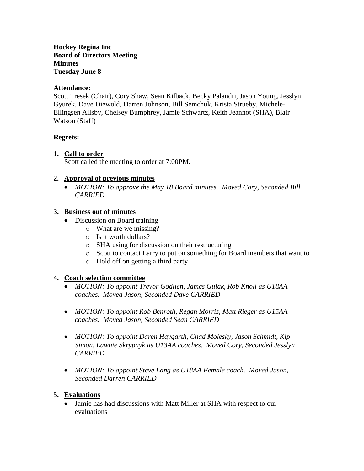#### **Hockey Regina Inc Board of Directors Meeting Minutes Tuesday June 8**

#### **Attendance:**

Scott Tresek (Chair), Cory Shaw, Sean Kilback, Becky Palandri, Jason Young, Jesslyn Gyurek, Dave Diewold, Darren Johnson, Bill Semchuk, Krista Strueby, Michele-Ellingsen Ailsby, Chelsey Bumphrey, Jamie Schwartz, Keith Jeannot (SHA), Blair Watson (Staff)

## **Regrets:**

## **1. Call to order**

Scott called the meeting to order at 7:00PM.

## **2. Approval of previous minutes**

 *MOTION: To approve the May 18 Board minutes. Moved Cory, Seconded Bill CARRIED*

#### **3. Business out of minutes**

- Discussion on Board training
	- o What are we missing?
	- o Is it worth dollars?
	- o SHA using for discussion on their restructuring
	- o Scott to contact Larry to put on something for Board members that want to
	- o Hold off on getting a third party

## **4. Coach selection committee**

- *MOTION: To appoint Trevor Godlien, James Gulak, Rob Knoll as U18AA coaches. Moved Jason, Seconded Dave CARRIED*
- *MOTION: To appoint Rob Benroth, Regan Morris, Matt Rieger as U15AA coaches. Moved Jason, Seconded Sean CARRIED*
- *MOTION: To appoint Daren Haygarth, Chad Molesky, Jason Schmidt, Kip Simon, Lawnie Skrypnyk as U13AA coaches. Moved Cory, Seconded Jesslyn CARRIED*
- *MOTION: To appoint Steve Lang as U18AA Female coach. Moved Jason, Seconded Darren CARRIED*

## **5. Evaluations**

• Jamie has had discussions with Matt Miller at SHA with respect to our evaluations